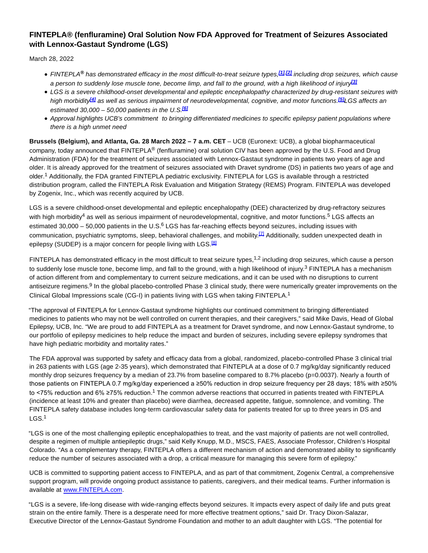# **FINTEPLA® (fenfluramine) Oral Solution Now FDA Approved for Treatment of Seizures Associated with Lennox-Gastaut Syndrome (LGS)**

March 28, 2022

- FINTEPLA**®** has demonstrated efficacy in the most difficult-to-treat seizure types,**[\[1\]](file:///C:/Windows/Temp/ABCpdf/9ffd535a-5384-4853-9d27-97f3a881f338.html#_edn1)**,**[\[2\]](file:///C:/Windows/Temp/ABCpdf/9ffd535a-5384-4853-9d27-97f3a881f338.html#_edn2)** including drop seizures, which cause a person to suddenly lose muscle tone, become limp, and fall to the ground, with a high likelihood of injury**[\[3\]](file:///C:/Windows/Temp/ABCpdf/9ffd535a-5384-4853-9d27-97f3a881f338.html#_edn3)**
- LGS is a severe childhood-onset developmental and epileptic encephalopathy characterized by drug-resistant seizures with high morbidity**[\[4\]](file:///C:/Windows/Temp/ABCpdf/9ffd535a-5384-4853-9d27-97f3a881f338.html#_edn4)** as well as serious impairment of neurodevelopmental, cognitive, and motor functions.**[\[5\]](file:///C:/Windows/Temp/ABCpdf/9ffd535a-5384-4853-9d27-97f3a881f338.html#_edn5)**LGS affects an estimated 30,000 – 50,000 patients in the U.S.**[\[6\]](file:///C:/Windows/Temp/ABCpdf/9ffd535a-5384-4853-9d27-97f3a881f338.html#_edn6)**
- Approval highlights UCB's commitment to bringing differentiated medicines to specific epilepsy patient populations where there is a high unmet need

**Brussels (Belgium), and Atlanta, Ga. 28 March 2022 – 7 a.m. CET** – UCB (Euronext: UCB), a global biopharmaceutical company, today announced that FINTEPLA® (fenfluramine) oral solution CIV has been approved by the U.S. Food and Drug Administration (FDA) for the treatment of seizures associated with Lennox-Gastaut syndrome in patients two years of age and older. It is already approved for the treatment of seizures associated with Dravet syndrome (DS) in patients two years of age and older.<sup>1</sup> Additionally, the FDA granted FINTEPLA pediatric exclusivity. FINTEPLA for LGS is available through a restricted distribution program, called the FINTEPLA Risk Evaluation and Mitigation Strategy (REMS) Program. FINTEPLA was developed by Zogenix, Inc., which was recently acquired by UCB.

LGS is a severe childhood-onset developmental and epileptic encephalopathy (DEE) characterized by drug-refractory seizures with high morbidity<sup>4</sup> as well as serious impairment of neurodevelopmental, cognitive, and motor functions.<sup>5</sup> LGS affects an estimated 30,000 - 50,000 patients in the U.S.<sup>6</sup> LGS has far-reaching effects beyond seizures, including issues with communication, psychiatric symptoms, sleep, behavioral challenges, and mobility.<sup>[\[7\]](file:///C:/Windows/Temp/ABCpdf/9ffd535a-5384-4853-9d27-97f3a881f338.html#_edn7)</sup> Additionally, sudden unexpected death in epilepsy (SUDEP) is a major concern for people living with LGS.<sup>[\[8\]](file:///C:/Windows/Temp/ABCpdf/9ffd535a-5384-4853-9d27-97f3a881f338.html#_edn8)</sup>

FINTEPLA has demonstrated efficacy in the most difficult to treat seizure types,<sup>1,2</sup> including drop seizures, which cause a person to suddenly lose muscle tone, become limp, and fall to the ground, with a high likelihood of injury.<sup>3</sup> FINTEPLA has a mechanism of action different from and complementary to current seizure medications, and it can be used with no disruptions to current antiseizure regimens.<sup>9</sup> In the global placebo-controlled Phase 3 clinical study, there were numerically greater improvements on the Clinical Global Impressions scale (CG-I) in patients living with LGS when taking FINTEPLA.<sup>1</sup>

"The approval of FINTEPLA for Lennox-Gastaut syndrome highlights our continued commitment to bringing differentiated medicines to patients who may not be well controlled on current therapies, and their caregivers," said Mike Davis, Head of Global Epilepsy, UCB, Inc. "We are proud to add FINTEPLA as a treatment for Dravet syndrome, and now Lennox-Gastaut syndrome, to our portfolio of epilepsy medicines to help reduce the impact and burden of seizures, including severe epilepsy syndromes that have high pediatric morbidity and mortality rates."

The FDA approval was supported by safety and efficacy data from a global, randomized, placebo-controlled Phase 3 clinical trial in 263 patients with LGS (age 2-35 years), which demonstrated that FINTEPLA at a dose of 0.7 mg/kg/day significantly reduced monthly drop seizures frequency by a median of 23.7% from baseline compared to 8.7% placebo (p=0.0037). Nearly a fourth of those patients on FINTEPLA 0.7 mg/kg/day experienced a ≥50% reduction in drop seizure frequency per 28 days; 18% with ≥50% to <75% reduction and 6% ≥75% reduction.<sup>1</sup> The common adverse reactions that occurred in patients treated with FINTEPLA (incidence at least 10% and greater than placebo) were diarrhea, decreased appetite, fatigue, somnolence, and vomiting. The FINTEPLA safety database includes long-term cardiovascular safety data for patients treated for up to three years in DS and LGS.<sup>1</sup>

"LGS is one of the most challenging epileptic encephalopathies to treat, and the vast majority of patients are not well controlled, despite a regimen of multiple antiepileptic drugs," said Kelly Knupp, M.D., MSCS, FAES, Associate Professor, Children's Hospital Colorado. "As a complementary therapy, FINTEPLA offers a different mechanism of action and demonstrated ability to significantly reduce the number of seizures associated with a drop, a critical measure for managing this severe form of epilepsy."

UCB is committed to supporting patient access to FINTEPLA, and as part of that commitment, Zogenix Central, a comprehensive support program, will provide ongoing product assistance to patients, caregivers, and their medical teams. Further information is available at [www.FINTEPLA.com.](http://www.fintepla.com/)

"LGS is a severe, life-long disease with wide-ranging effects beyond seizures. It impacts every aspect of daily life and puts great strain on the entire family. There is a desperate need for more effective treatment options," said Dr. Tracy Dixon-Salazar, Executive Director of the Lennox-Gastaut Syndrome Foundation and mother to an adult daughter with LGS. "The potential for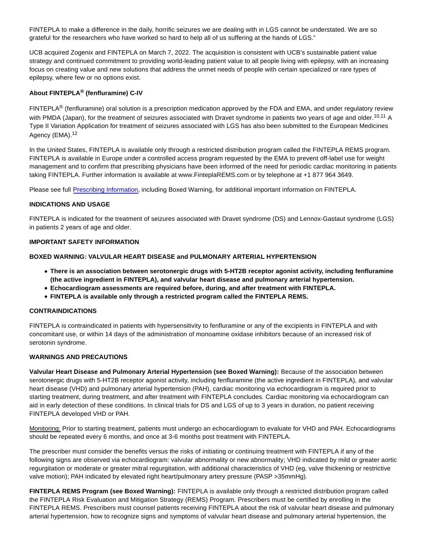FINTEPLA to make a difference in the daily, horrific seizures we are dealing with in LGS cannot be understated. We are so grateful for the researchers who have worked so hard to help all of us suffering at the hands of LGS."

UCB acquired Zogenix and FINTEPLA on March 7, 2022. The acquisition is consistent with UCB's sustainable patient value strategy and continued commitment to providing world-leading patient value to all people living with epilepsy, with an increasing focus on creating value and new solutions that address the unmet needs of people with certain specialized or rare types of epilepsy, where few or no options exist.

# **About FINTEPLA® (fenfluramine) C-IV**

FINTEPLA<sup>®</sup> (fenfluramine) oral solution is a prescription medication approved by the FDA and EMA, and under regulatory review with PMDA (Japan), for the treatment of seizures associated with Dravet syndrome in patients two years of age and older.<sup>10,11</sup> A Type II Variation Application for treatment of seizures associated with LGS has also been submitted to the European Medicines Agency (EMA).<sup>12</sup>

In the United States, FINTEPLA is available only through a restricted distribution program called the FINTEPLA REMS program. FINTEPLA is available in Europe under a controlled access program requested by the EMA to prevent off-label use for weight management and to confirm that prescribing physicians have been informed of the need for periodic cardiac monitoring in patients taking FINTEPLA. Further information is available at www.FinteplaREMS.com or by telephone at +1 877 964 3649.

Please see full [Prescribing Information,](https://www.zogenix.com/pi/Fintepla-prescribing-information.pdf) including Boxed Warning, for additional important information on FINTEPLA.

# **INDICATIONS AND USAGE**

FINTEPLA is indicated for the treatment of seizures associated with Dravet syndrome (DS) and Lennox-Gastaut syndrome (LGS) in patients 2 years of age and older.

# **IMPORTANT SAFETY INFORMATION**

## **BOXED WARNING: VALVULAR HEART DISEASE and PULMONARY ARTERIAL HYPERTENSION**

- **There is an association between serotonergic drugs with 5-HT2B receptor agonist activity, including fenfluramine (the active ingredient in FINTEPLA), and valvular heart disease and pulmonary arterial hypertension.**
- **Echocardiogram assessments are required before, during, and after treatment with FINTEPLA.**
- **FINTEPLA is available only through a restricted program called the FINTEPLA REMS.**

## **CONTRAINDICATIONS**

FINTEPLA is contraindicated in patients with hypersensitivity to fenfluramine or any of the excipients in FINTEPLA and with concomitant use, or within 14 days of the administration of monoamine oxidase inhibitors because of an increased risk of serotonin syndrome.

## **WARNINGS AND PRECAUTIONS**

**Valvular Heart Disease and Pulmonary Arterial Hypertension (see Boxed Warning):** Because of the association between serotonergic drugs with 5-HT2B receptor agonist activity, including fenfluramine (the active ingredient in FINTEPLA), and valvular heart disease (VHD) and pulmonary arterial hypertension (PAH), cardiac monitoring via echocardiogram is required prior to starting treatment, during treatment, and after treatment with FINTEPLA concludes. Cardiac monitoring via echocardiogram can aid in early detection of these conditions. In clinical trials for DS and LGS of up to 3 years in duration, no patient receiving FINTEPLA developed VHD or PAH.

Monitoring: Prior to starting treatment, patients must undergo an echocardiogram to evaluate for VHD and PAH. Echocardiograms should be repeated every 6 months, and once at 3-6 months post treatment with FINTEPLA.

The prescriber must consider the benefits versus the risks of initiating or continuing treatment with FINTEPLA if any of the following signs are observed via echocardiogram: valvular abnormality or new abnormality; VHD indicated by mild or greater aortic regurgitation or moderate or greater mitral regurgitation, with additional characteristics of VHD (eg, valve thickening or restrictive valve motion); PAH indicated by elevated right heart/pulmonary artery pressure (PASP >35mmHg).

**FINTEPLA REMS Program (see Boxed Warning):** FINTEPLA is available only through a restricted distribution program called the FINTEPLA Risk Evaluation and Mitigation Strategy (REMS) Program. Prescribers must be certified by enrolling in the FINTEPLA REMS. Prescribers must counsel patients receiving FINTEPLA about the risk of valvular heart disease and pulmonary arterial hypertension, how to recognize signs and symptoms of valvular heart disease and pulmonary arterial hypertension, the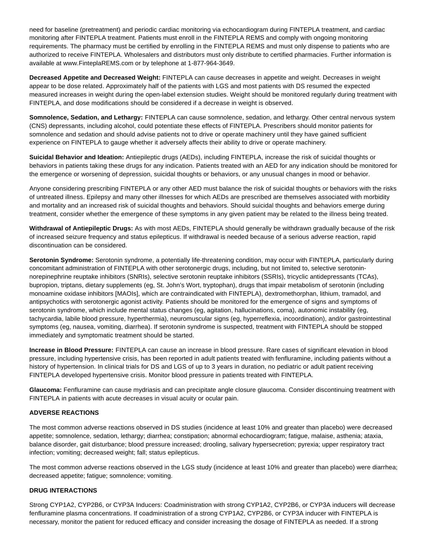need for baseline (pretreatment) and periodic cardiac monitoring via echocardiogram during FINTEPLA treatment, and cardiac monitoring after FINTEPLA treatment. Patients must enroll in the FINTEPLA REMS and comply with ongoing monitoring requirements. The pharmacy must be certified by enrolling in the FINTEPLA REMS and must only dispense to patients who are authorized to receive FINTEPLA. Wholesalers and distributors must only distribute to certified pharmacies. Further information is available at www.FinteplaREMS.com or by telephone at 1-877-964-3649.

**Decreased Appetite and Decreased Weight:** FINTEPLA can cause decreases in appetite and weight. Decreases in weight appear to be dose related. Approximately half of the patients with LGS and most patients with DS resumed the expected measured increases in weight during the open-label extension studies. Weight should be monitored regularly during treatment with FINTEPLA, and dose modifications should be considered if a decrease in weight is observed.

**Somnolence, Sedation, and Lethargy:** FINTEPLA can cause somnolence, sedation, and lethargy. Other central nervous system (CNS) depressants, including alcohol, could potentiate these effects of FINTEPLA. Prescribers should monitor patients for somnolence and sedation and should advise patients not to drive or operate machinery until they have gained sufficient experience on FINTEPLA to gauge whether it adversely affects their ability to drive or operate machinery.

**Suicidal Behavior and Ideation:** Antiepileptic drugs (AEDs), including FINTEPLA, increase the risk of suicidal thoughts or behaviors in patients taking these drugs for any indication. Patients treated with an AED for any indication should be monitored for the emergence or worsening of depression, suicidal thoughts or behaviors, or any unusual changes in mood or behavior.

Anyone considering prescribing FINTEPLA or any other AED must balance the risk of suicidal thoughts or behaviors with the risks of untreated illness. Epilepsy and many other illnesses for which AEDs are prescribed are themselves associated with morbidity and mortality and an increased risk of suicidal thoughts and behaviors. Should suicidal thoughts and behaviors emerge during treatment, consider whether the emergence of these symptoms in any given patient may be related to the illness being treated.

**Withdrawal of Antiepileptic Drugs:** As with most AEDs, FINTEPLA should generally be withdrawn gradually because of the risk of increased seizure frequency and status epilepticus. If withdrawal is needed because of a serious adverse reaction, rapid discontinuation can be considered.

**Serotonin Syndrome:** Serotonin syndrome, a potentially life-threatening condition, may occur with FINTEPLA, particularly during concomitant administration of FINTEPLA with other serotonergic drugs, including, but not limited to, selective serotoninnorepinephrine reuptake inhibitors (SNRIs), selective serotonin reuptake inhibitors (SSRIs), tricyclic antidepressants (TCAs), bupropion, triptans, dietary supplements (eg, St. John's Wort, tryptophan), drugs that impair metabolism of serotonin (including monoamine oxidase inhibitors [MAOIs], which are contraindicated with FINTEPLA), dextromethorphan, lithium, tramadol, and antipsychotics with serotonergic agonist activity. Patients should be monitored for the emergence of signs and symptoms of serotonin syndrome, which include mental status changes (eg, agitation, hallucinations, coma), autonomic instability (eg, tachycardia, labile blood pressure, hyperthermia), neuromuscular signs (eg, hyperreflexia, incoordination), and/or gastrointestinal symptoms (eg, nausea, vomiting, diarrhea). If serotonin syndrome is suspected, treatment with FINTEPLA should be stopped immediately and symptomatic treatment should be started.

**Increase in Blood Pressure:** FINTEPLA can cause an increase in blood pressure. Rare cases of significant elevation in blood pressure, including hypertensive crisis, has been reported in adult patients treated with fenfluramine, including patients without a history of hypertension. In clinical trials for DS and LGS of up to 3 years in duration, no pediatric or adult patient receiving FINTEPLA developed hypertensive crisis. Monitor blood pressure in patients treated with FINTEPLA.

**Glaucoma:** Fenfluramine can cause mydriasis and can precipitate angle closure glaucoma. Consider discontinuing treatment with FINTEPLA in patients with acute decreases in visual acuity or ocular pain.

## **ADVERSE REACTIONS**

The most common adverse reactions observed in DS studies (incidence at least 10% and greater than placebo) were decreased appetite; somnolence, sedation, lethargy; diarrhea; constipation; abnormal echocardiogram; fatigue, malaise, asthenia; ataxia, balance disorder, gait disturbance; blood pressure increased; drooling, salivary hypersecretion; pyrexia; upper respiratory tract infection; vomiting; decreased weight; fall; status epilepticus.

The most common adverse reactions observed in the LGS study (incidence at least 10% and greater than placebo) were diarrhea; decreased appetite; fatigue; somnolence; vomiting.

#### **DRUG INTERACTIONS**

Strong CYP1A2, CYP2B6, or CYP3A Inducers: Coadministration with strong CYP1A2, CYP2B6, or CYP3A inducers will decrease fenfluramine plasma concentrations. If coadministration of a strong CYP1A2, CYP2B6, or CYP3A inducer with FINTEPLA is necessary, monitor the patient for reduced efficacy and consider increasing the dosage of FINTEPLA as needed. If a strong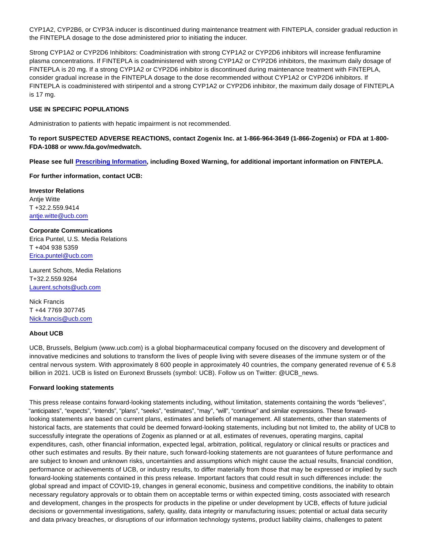CYP1A2, CYP2B6, or CYP3A inducer is discontinued during maintenance treatment with FINTEPLA, consider gradual reduction in the FINTEPLA dosage to the dose administered prior to initiating the inducer.

Strong CYP1A2 or CYP2D6 Inhibitors: Coadministration with strong CYP1A2 or CYP2D6 inhibitors will increase fenfluramine plasma concentrations. If FINTEPLA is coadministered with strong CYP1A2 or CYP2D6 inhibitors, the maximum daily dosage of FINTEPLA is 20 mg. If a strong CYP1A2 or CYP2D6 inhibitor is discontinued during maintenance treatment with FINTEPLA, consider gradual increase in the FINTEPLA dosage to the dose recommended without CYP1A2 or CYP2D6 inhibitors. If FINTEPLA is coadministered with stiripentol and a strong CYP1A2 or CYP2D6 inhibitor, the maximum daily dosage of FINTEPLA is 17 mg.

### **USE IN SPECIFIC POPULATIONS**

Administration to patients with hepatic impairment is not recommended.

**To report SUSPECTED ADVERSE REACTIONS, contact Zogenix Inc. at 1-866-964-3649 (1-866-Zogenix) or FDA at 1-800- FDA-1088 or www.fda.gov/medwatch.**

**Please see full [Prescribing Information,](https://zogenix.com/pi/Fintepla-prescribing-information.pdf) including Boxed Warning, for additional important information on FINTEPLA.**

**For further information, contact UCB:**

**Investor Relations** Antje Witte T +32.2.559.9414 [antje.witte@ucb.com](mailto:antje.witte@ucb.com)

#### **Corporate Communications**

Erica Puntel, U.S. Media Relations T +404 938 5359 [Erica.puntel@ucb.com](mailto:Erica.puntel@ucb.com)

Laurent Schots, Media Relations T+32.2.559.9264 [Laurent.schots@ucb.com](mailto:Laurent.schots@ucb.com)

Nick Francis T +44 7769 307745 [Nick.francis@ucb.com](mailto:Nick.francis@ucb.com)

#### **About UCB**

UCB, Brussels, Belgium (www.ucb.com) is a global biopharmaceutical company focused on the discovery and development of innovative medicines and solutions to transform the lives of people living with severe diseases of the immune system or of the central nervous system. With approximately 8 600 people in approximately 40 countries, the company generated revenue of  $\epsilon$  5.8 billion in 2021. UCB is listed on Euronext Brussels (symbol: UCB). Follow us on Twitter: @UCB\_news.

#### **Forward looking statements**

This press release contains forward-looking statements including, without limitation, statements containing the words "believes", "anticipates", "expects", "intends", "plans", "seeks", "estimates", "may", "will", "continue" and similar expressions. These forwardlooking statements are based on current plans, estimates and beliefs of management. All statements, other than statements of historical facts, are statements that could be deemed forward-looking statements, including but not limited to, the ability of UCB to successfully integrate the operations of Zogenix as planned or at all, estimates of revenues, operating margins, capital expenditures, cash, other financial information, expected legal, arbitration, political, regulatory or clinical results or practices and other such estimates and results. By their nature, such forward-looking statements are not guarantees of future performance and are subject to known and unknown risks, uncertainties and assumptions which might cause the actual results, financial condition, performance or achievements of UCB, or industry results, to differ materially from those that may be expressed or implied by such forward-looking statements contained in this press release. Important factors that could result in such differences include: the global spread and impact of COVID-19, changes in general economic, business and competitive conditions, the inability to obtain necessary regulatory approvals or to obtain them on acceptable terms or within expected timing, costs associated with research and development, changes in the prospects for products in the pipeline or under development by UCB, effects of future judicial decisions or governmental investigations, safety, quality, data integrity or manufacturing issues; potential or actual data security and data privacy breaches, or disruptions of our information technology systems, product liability claims, challenges to patent